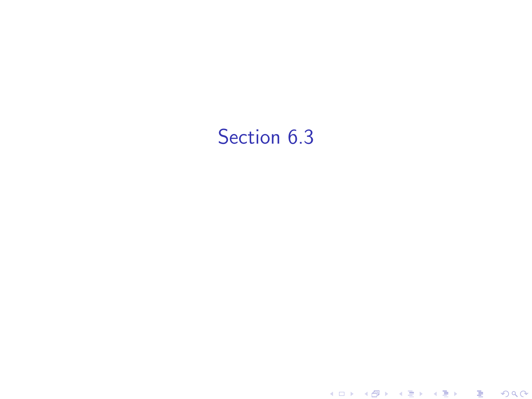## Section 6.3

K ロ ▶ ( d ) | K 글 ) | K 글 ) | [ 글 | 10 Q Q |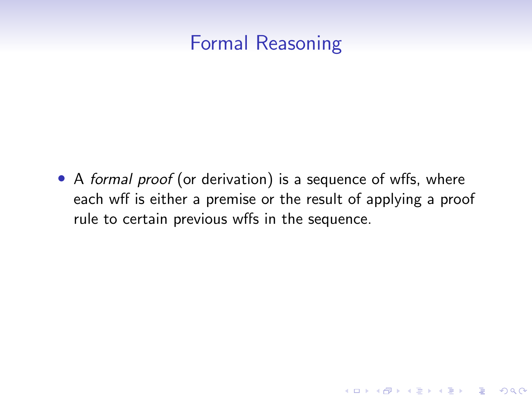## Formal Reasoning

• A formal proof (or derivation) is a sequence of wffs, where each wff is either a premise or the result of applying a proof rule to certain previous wffs in the sequence.

**KORK ERKER ADAM ADA**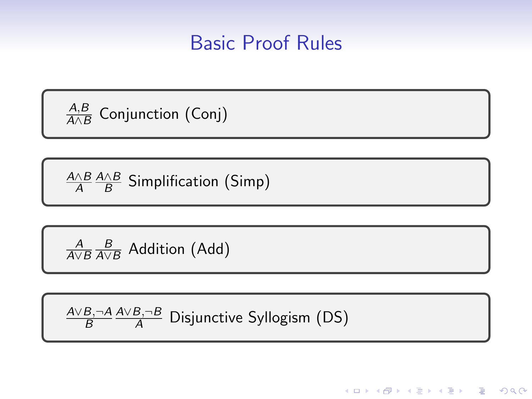#### Basic Proof Rules

**KORKARYKERKER OQO** 

A,B  $\frac{A,B}{A\wedge B}$  Conjunction (Conj)

A∧B A A∧B  $\frac{AB}{B}$  Simplification (Simp)

 $\frac{A}{A\vee B}\frac{B}{A\vee B}$  Addition (Add)

A∨B,¬A B A∨B,¬B <sup>A</sup> Disjunctive Syllogism (DS)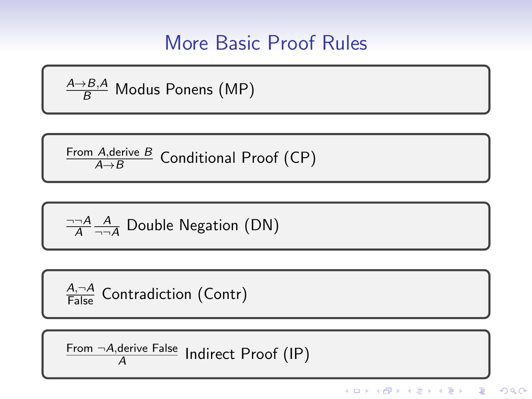## More Basic Proof Rules

$$
\frac{A \rightarrow B, A}{B}
$$
 Modus Ponens (MP)

$$
\frac{\text{From } A, \text{derive } B}{A \rightarrow B} \text{ Conditional Proof (CP)}
$$

$$
\frac{\neg\neg A}{A} \frac{A}{\neg\neg A}
$$
 Double Negation (DN)

$$
\frac{A,\neg A}{\mathsf{False}}\ \mathsf{Contraction}\ (\mathsf{Contr})
$$

From ¬A,derive False  $\frac{q_{\text{enive False}}}{A}$  Indirect Proof (IP)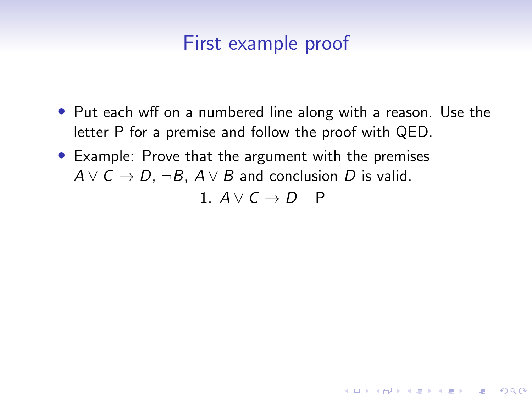- Put each wff on a numbered line along with a reason. Use the letter P for a premise and follow the proof with QED.
- Example: Prove that the argument with the premises  $A \vee C \rightarrow D$ ,  $\neg B$ ,  $A \vee B$  and conclusion D is valid.

1.  $A \vee C \rightarrow D$  P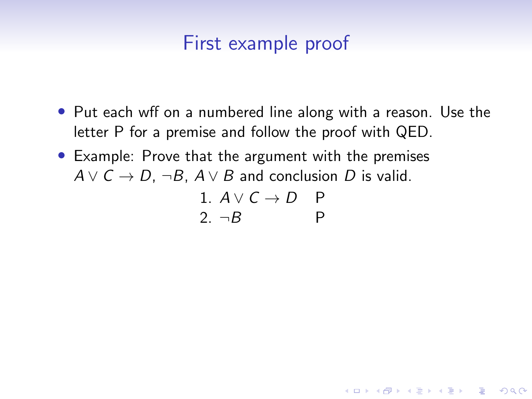- Put each wff on a numbered line along with a reason. Use the letter P for a premise and follow the proof with QED.
- Example: Prove that the argument with the premises  $A \vee C \rightarrow D$ ,  $\neg B$ ,  $A \vee B$  and conclusion D is valid.

1. 
$$
A \lor C \rightarrow D
$$
 P  
2.  $\neg B$  P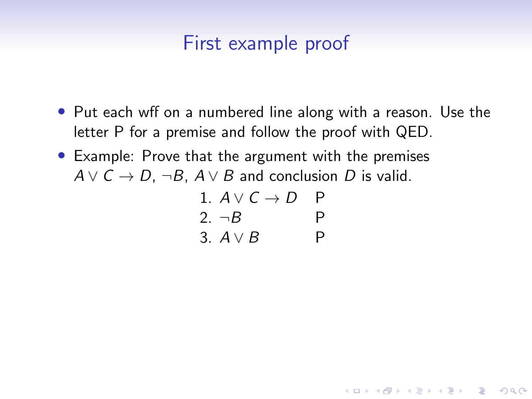- Put each wff on a numbered line along with a reason. Use the letter P for a premise and follow the proof with QED.
- Example: Prove that the argument with the premises  $A \vee C \rightarrow D$ ,  $\neg B$ ,  $A \vee B$  and conclusion D is valid.

1. 
$$
A \lor C \rightarrow D
$$
 P  
\n2.  $\neg B$  P  
\n3.  $A \lor B$  P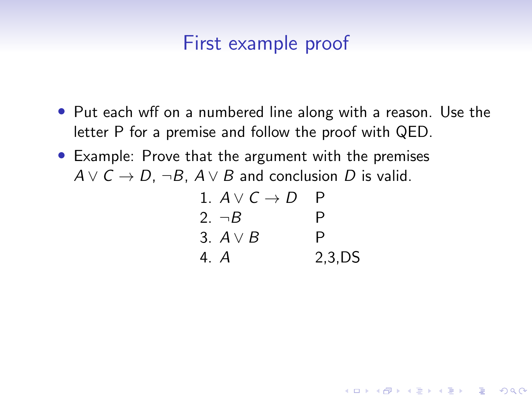- Put each wff on a numbered line along with a reason. Use the letter P for a premise and follow the proof with QED.
- Example: Prove that the argument with the premises  $A \vee C \rightarrow D$ ,  $\neg B$ ,  $A \vee B$  and conclusion D is valid.

| 1. $A \vee C \rightarrow D$ | P          |
|-----------------------------|------------|
| 2. $\neg B$                 | P          |
| 3. $A \vee B$               | P          |
| 4. A                        | $2,3$ , DS |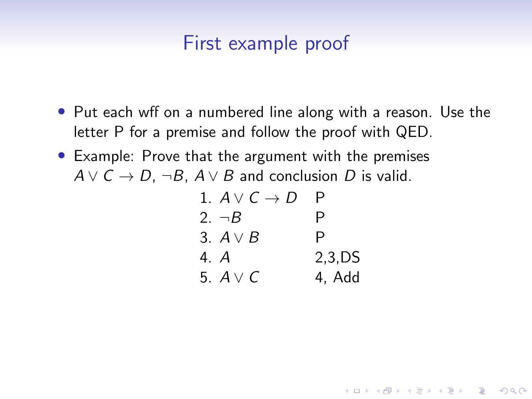- Put each wff on a numbered line along with a reason. Use the letter P for a premise and follow the proof with QED.
- Example: Prove that the argument with the premises  $A \vee C \rightarrow D$ ,  $\neg B$ ,  $A \vee B$  and conclusion D is valid.

| 1. $A \vee C \rightarrow D$ |            |
|-----------------------------|------------|
| 2. $\neg B$                 | P          |
| 3. $A \vee B$               | P          |
| 4. A                        | $2,3$ , DS |
| 5. $A \vee C$               | 4, Add     |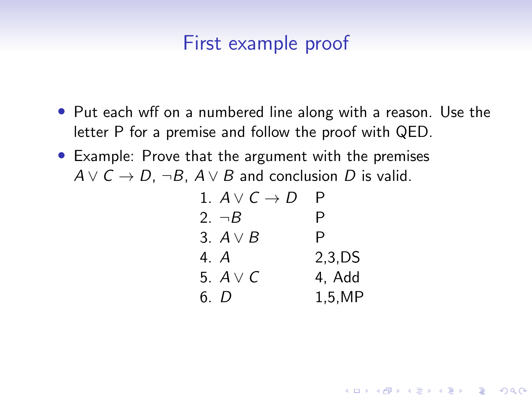- Put each wff on a numbered line along with a reason. Use the letter P for a premise and follow the proof with QED.
- Example: Prove that the argument with the premises  $A \vee C \rightarrow D$ ,  $\neg B$ ,  $A \vee B$  and conclusion D is valid.

| 1. $A \vee C \rightarrow D$ | Ρ          |
|-----------------------------|------------|
| 2. $\neg B$                 | P          |
| 3. $A \vee B$               | P          |
| 4. A                        | $2,3$ , DS |
| 5. $A \vee C$               | 4. Add     |
| 6. D                        | 1,5,MP     |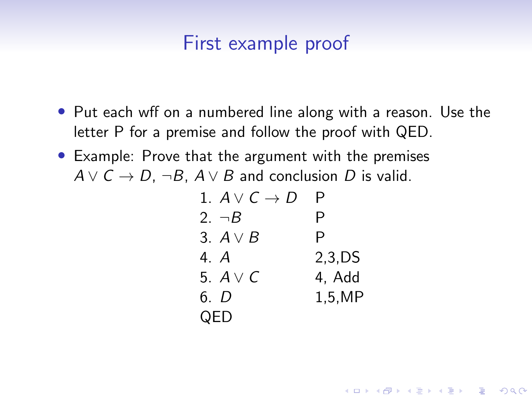- Put each wff on a numbered line along with a reason. Use the letter P for a premise and follow the proof with QED.
- Example: Prove that the argument with the premises  $A \vee C \rightarrow D$ ,  $\neg B$ ,  $A \vee B$  and conclusion D is valid.

| 1. $A \vee C \rightarrow D$ | Ρ      |
|-----------------------------|--------|
| 2. $\neg B$                 | P      |
| 3. $A \vee B$               | P      |
| 4. A                        | 2.3.DS |
| 5. $A \vee C$               | 4, Add |
| 6. D                        | 1,5,MP |
| QED                         |        |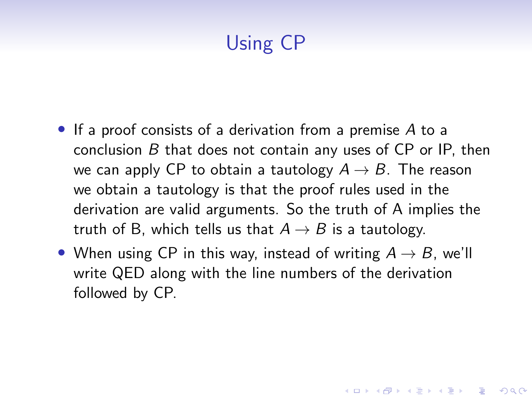# Using CP

- If a proof consists of a derivation from a premise A to a conclusion B that does not contain any uses of CP or IP, then we can apply CP to obtain a tautology  $A \rightarrow B$ . The reason we obtain a tautology is that the proof rules used in the derivation are valid arguments. So the truth of A implies the truth of B, which tells us that  $A \rightarrow B$  is a tautology.
- When using CP in this way, instead of writing  $A \rightarrow B$ , we'll write QED along with the line numbers of the derivation followed by CP.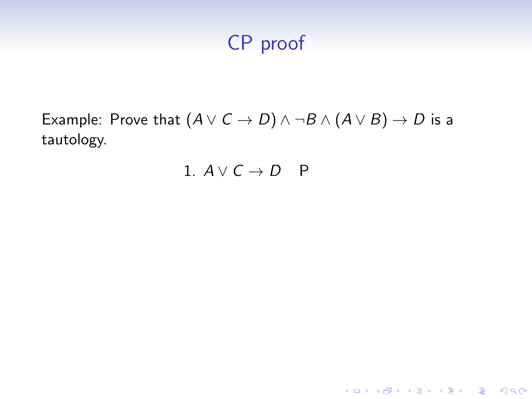Example: Prove that  $(A \lor C \to D) \land \neg B \land (A \lor B) \to D$  is a tautology.

#### 1.  $A \vee C \rightarrow D$  P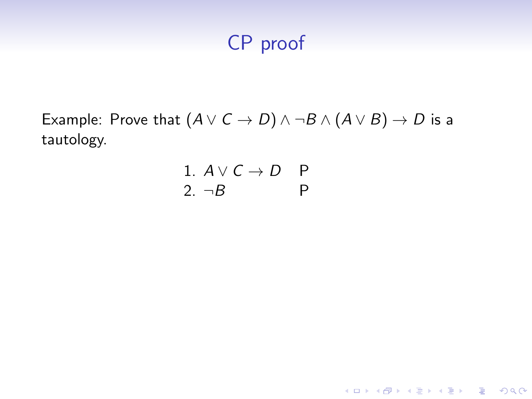Example: Prove that  $(A \lor C \to D) \land \neg B \land (A \lor B) \to D$  is a tautology.

1. 
$$
A \lor C \rightarrow D
$$
 P  
2.  $\neg B$  P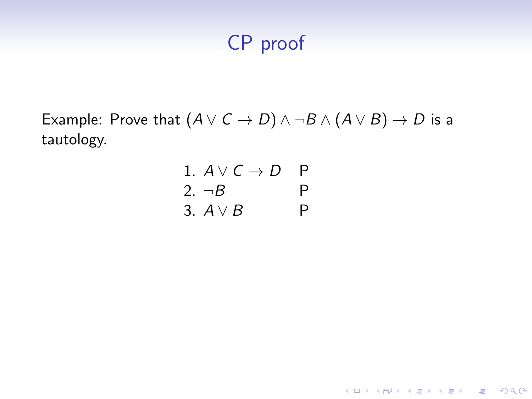Example: Prove that  $(A \lor C \to D) \land \neg B \land (A \lor B) \to D$  is a tautology.

1. 
$$
A \lor C \rightarrow D
$$
 P  
\n2.  $\neg B$  P  
\n3.  $A \lor B$  P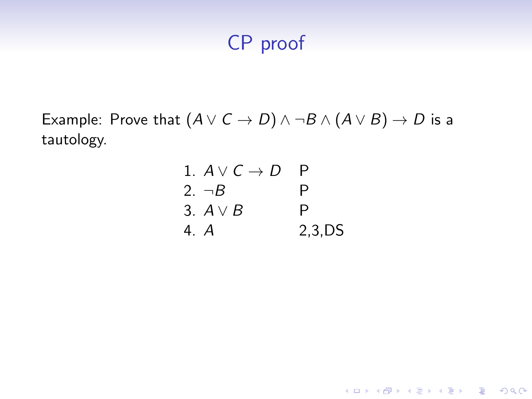Example: Prove that  $(A \lor C \to D) \land \neg B \land (A \lor B) \to D$  is a tautology.

| 1. $A \vee C \rightarrow D$ |            |
|-----------------------------|------------|
| 2. $\neg B$                 | P          |
| 3. $A \vee B$               | P          |
| 4. A                        | $2,3$ , DS |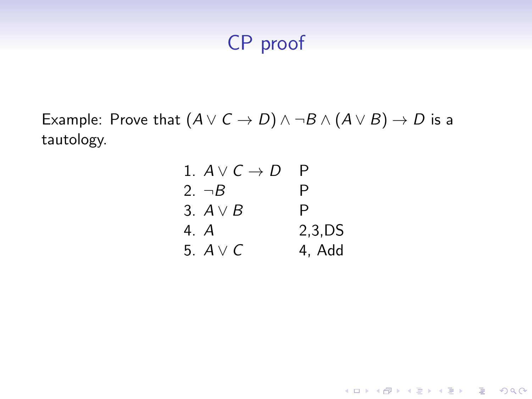Example: Prove that  $(A \lor C \to D) \land \neg B \land (A \lor B) \to D$  is a tautology.

| 1. $A \vee C \rightarrow D$ |        |
|-----------------------------|--------|
| 2. $\neg B$                 | P      |
| 3. $A \vee B$               | P      |
| 4. A                        | 2,3,DS |
| 5. $A \vee C$               | 4, Add |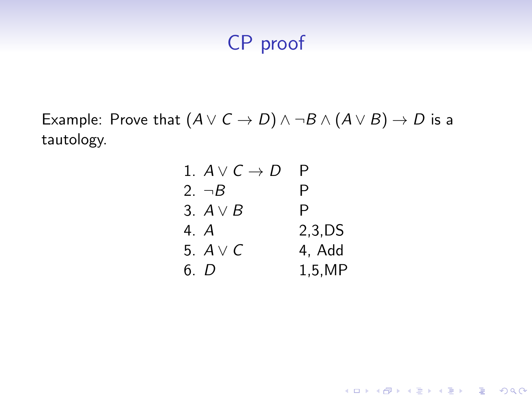Example: Prove that  $(A \lor C \to D) \land \neg B \land (A \lor B) \to D$  is a tautology.

| 1. $A \vee C \rightarrow D$ | Ρ          |
|-----------------------------|------------|
| 2. $\neg B$                 | P          |
| 3. $A \vee B$               | P          |
| 4. A                        | $2,3$ , DS |
| 5. $A \vee C$               | 4. Add     |
| 6. D                        | 1,5,MP     |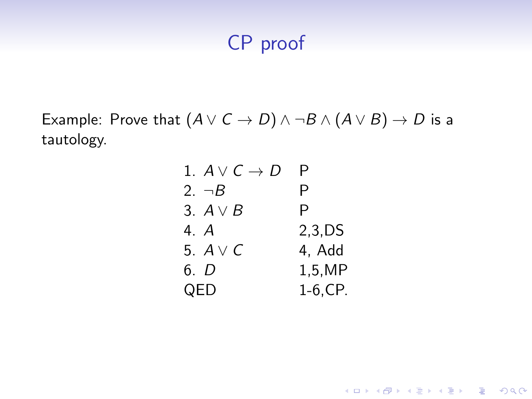Example: Prove that  $(A \lor C \to D) \land \neg B \land (A \lor B) \to D$  is a tautology.

| 1. $A \vee C \rightarrow D$ | Р           |
|-----------------------------|-------------|
| 2. $\neg B$                 | Р           |
| 3. $A \vee B$               | P           |
| 4. A                        | $2.3$ , DS  |
| 5. $A \vee C$               | 4, Add      |
| 6. D                        | 1,5,MP      |
| QED                         | $1-6$ , CP. |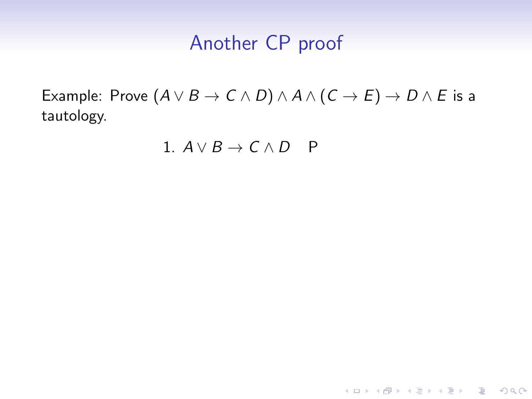Example: Prove  $(A \lor B \to C \land D) \land A \land (C \to E) \to D \land E$  is a tautology.

1.  $A \vee B \rightarrow C \wedge D$  P

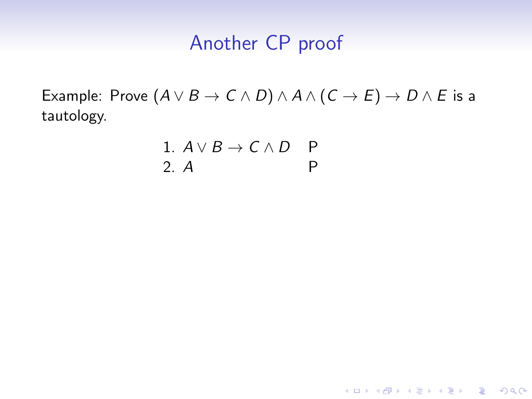Example: Prove  $(A \lor B \to C \land D) \land A \land (C \to E) \to D \land E$  is a tautology.

K ロ ▶ K @ ▶ K 할 ▶ K 할 ▶ 이 할 → 9 Q Q →

1. 
$$
A \lor B \to C \land D
$$
 P  
2. A P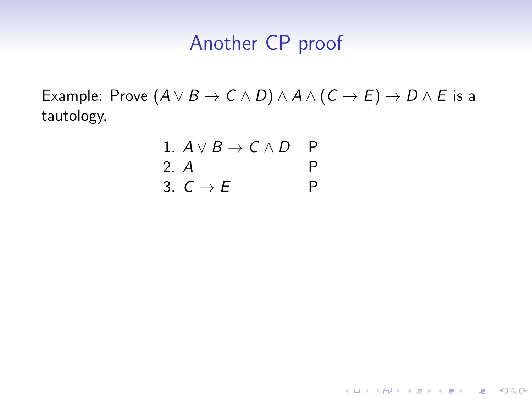Example: Prove  $(A \lor B \to C \land D) \land A \land (C \to E) \to D \land E$  is a tautology.

K ロ ▶ K 個 ▶ K 할 ▶ K 할 ▶ 이 할 → 9 Q Q →

1.  $A \vee B \rightarrow C \wedge D$  P 2. A P 3.  $C \rightarrow E$  P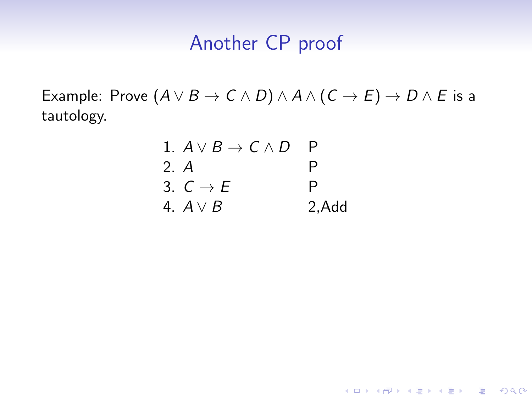Example: Prove  $(A \lor B \to C \land D) \land A \land (C \to E) \to D \land E$  is a tautology.

|      | 1. $A \vee B \rightarrow C \wedge D$ |       |
|------|--------------------------------------|-------|
| 2. A |                                      | P     |
|      | 3. $C \rightarrow E$                 | P     |
|      | 4. $A \vee B$                        | 2,Add |

K ロ ▶ K @ ▶ K 할 ▶ K 할 ▶ 이 할 → 9 Q Q →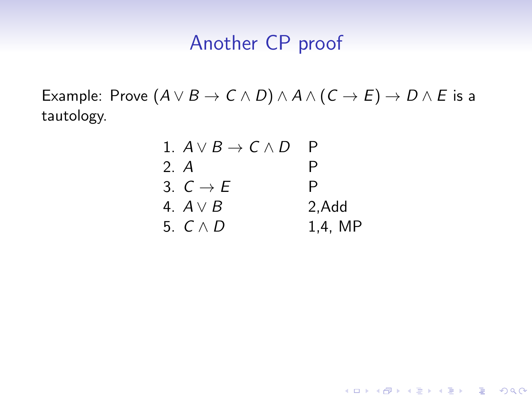Example: Prove  $(A \lor B \to C \land D) \land A \land (C \to E) \to D \land E$  is a tautology.

| 1. $A \vee B \rightarrow C \wedge D$ |         |
|--------------------------------------|---------|
| 2. A                                 | P       |
| 3. $C \rightarrow F$                 | P       |
| 4. $A \vee B$                        | 2, Add  |
| 5. $C \wedge D$                      | 1,4, MP |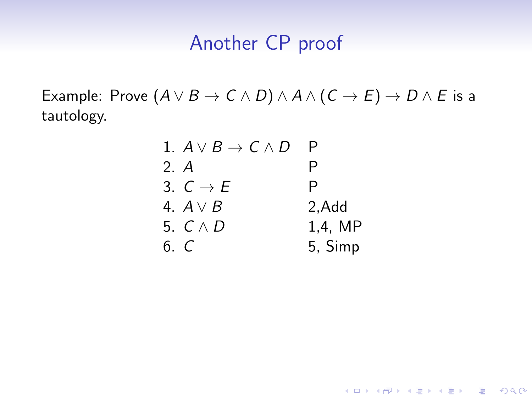Example: Prove  $(A \lor B \to C \land D) \land A \land (C \to E) \to D \land E$  is a tautology.

| 1. $A \vee B \rightarrow C \wedge D$ |         |
|--------------------------------------|---------|
| 2. A                                 | P       |
| 3. $C \rightarrow E$                 | P       |
| 4. $A \vee B$                        | 2, Add  |
| 5. $C \wedge D$                      | 1.4. MP |
| 6. C                                 | 5, Simp |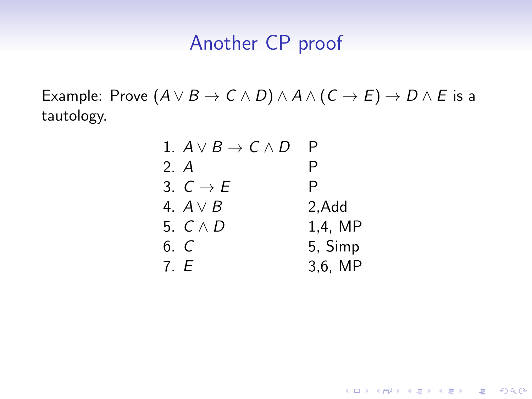Example: Prove  $(A \lor B \to C \land D) \land A \land (C \to E) \to D \land E$  is a tautology.

| 1. $A \vee B \rightarrow C \wedge D$ | P          |
|--------------------------------------|------------|
| 2. A                                 | P          |
| 3. $C \rightarrow E$                 | P          |
| 4. $A \vee B$                        | 2, Add     |
| 5. $C \wedge D$                      | $1,4$ , MP |
| 6. C                                 | 5, Simp    |
| 7. E                                 | $3,6$ , MP |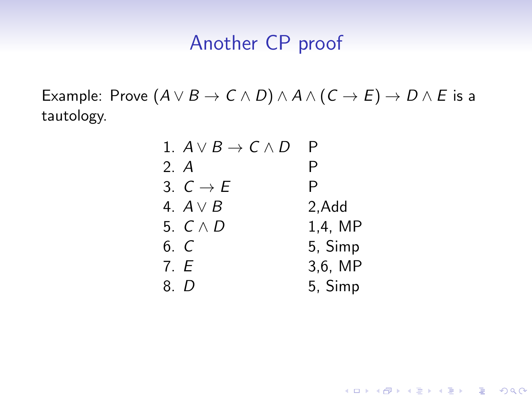Example: Prove  $(A \lor B \to C \land D) \land A \land (C \to E) \to D \land E$  is a tautology.

| 1. $A \vee B \rightarrow C \wedge D$ | Р          |
|--------------------------------------|------------|
| 2. A                                 | Р          |
| 3. $C \rightarrow E$                 | P          |
| 4. A $\vee$ B                        | 2,Add      |
| 5. $C \wedge D$                      | $1,4$ , MP |
| 6. C                                 | 5, Simp    |
| 7. E                                 | $3,6$ , MP |
| 8. D                                 | 5, Simp    |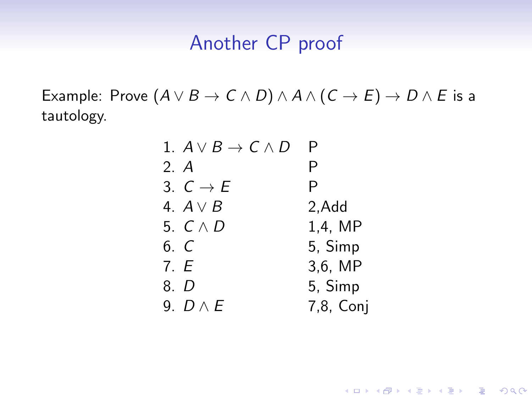Example: Prove  $(A \lor B \to C \land D) \land A \land (C \to E) \to D \land E$  is a tautology.

| 1. $A \vee B \rightarrow C \wedge D$ | P         |
|--------------------------------------|-----------|
| 2. A                                 | Ρ         |
| 3. $C \rightarrow E$                 | P         |
| 4. $A \vee B$                        | 2, Add    |
| 5. $C \wedge D$                      | 1,4, MP   |
| 6. C                                 | 5, Simp   |
| 7. E                                 | 3,6, MP   |
| 8. D                                 | 5, Simp   |
| 9. $D \wedge E$                      | 7,8, Coni |

K ロ ▶ K @ ▶ K 할 ▶ K 할 ▶ 이 할 → 9 Q Q →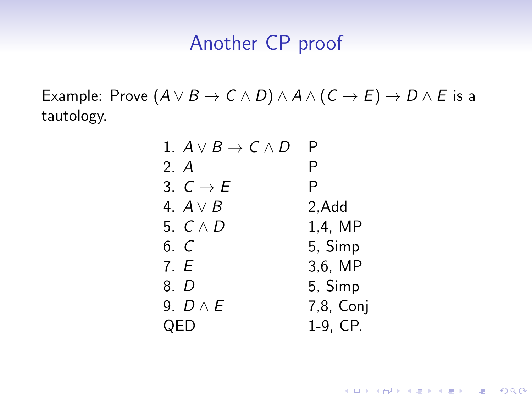Example: Prove  $(A \lor B \to C \land D) \land A \land (C \to E) \to D \land E$  is a tautology.

| 1. $A \vee B \rightarrow C \wedge D$ | P         |
|--------------------------------------|-----------|
| 2. A                                 | P         |
| 3. $C \rightarrow E$                 | P         |
| 4. A $\vee$ B                        | 2,Add     |
| 5. $C \wedge D$                      | 1,4, MP   |
| 6. C                                 | 5, Simp   |
| 7. E                                 | 3,6, MP   |
| 8. D                                 | 5, Simp   |
| 9. $D \wedge E$                      | 7,8, Conj |
| QED                                  | 1-9, CP.  |

K ロ ▶ K @ ▶ K 할 ▶ K 할 ▶ 이 할 → 9 Q Q →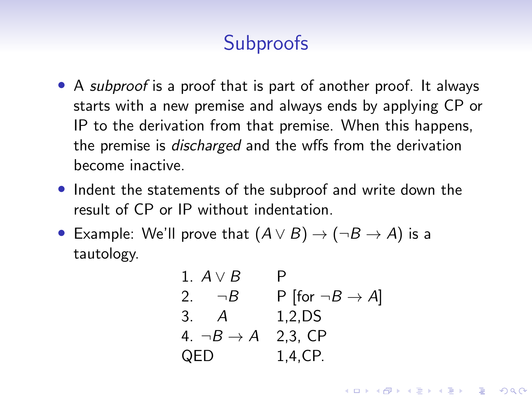# **Subproofs**

- A *subproof* is a proof that is part of another proof. It always starts with a new premise and always ends by applying CP or IP to the derivation from that premise. When this happens, the premise is discharged and the wffs from the derivation become inactive.
- Indent the statements of the subproof and write down the result of CP or IP without indentation.
- Example: We'll prove that  $(A \vee B) \rightarrow (\neg B \rightarrow A)$  is a tautology.

1. 
$$
A \vee B
$$
 P  
\n2.  $\neg B$  P [for  $\neg B \rightarrow A$ ]  
\n3. A 1,2,DS  
\n4.  $\neg B \rightarrow A$  2,3, CP  
\nQED 1,4,CP.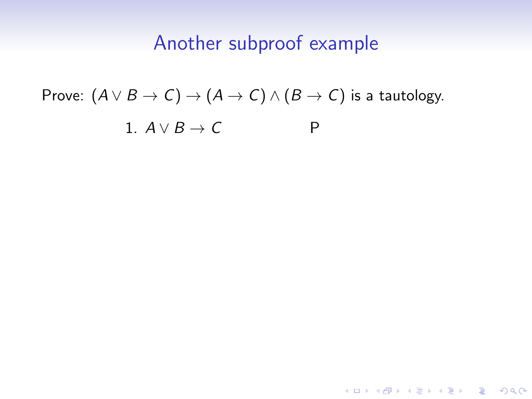Prove: 
$$
(A \lor B \to C) \to (A \to C) \land (B \to C)
$$
 is a tautology.  
1.  $A \lor B \to C$  P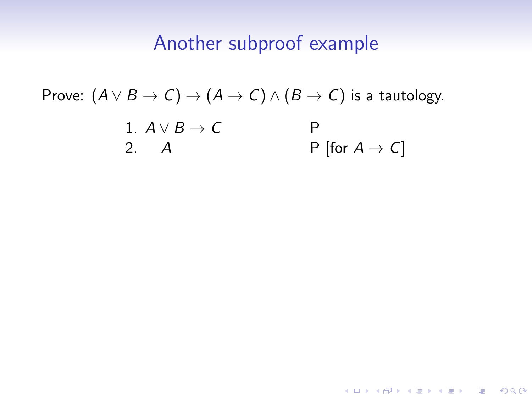Prove: 
$$
(A \lor B \to C) \to (A \to C) \land (B \to C)
$$
 is a tautology.  
\n1.  $A \lor B \to C$   
\n2. A  
\nP [for  $A \to C$ ]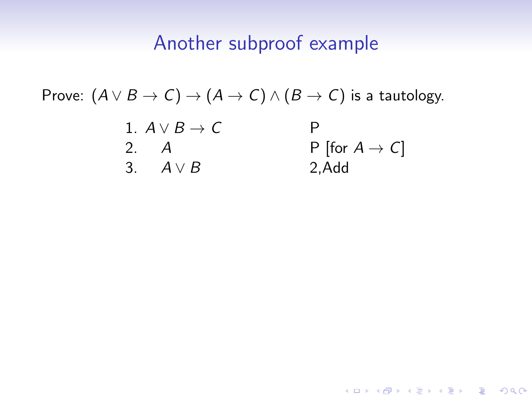**KORK ERKER ADAM ADA** 

Prove:  $(A \vee B \rightarrow C) \rightarrow (A \rightarrow C) \wedge (B \rightarrow C)$  is a tautology. 1.  $A \vee B \rightarrow C$  P 2. A P [for  $A \rightarrow C$ ] 3.  $A \vee B$  2.Add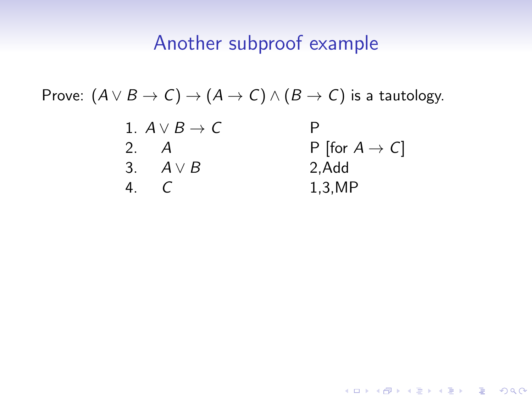Prove:  $(A \vee B \rightarrow C) \rightarrow (A \rightarrow C) \wedge (B \rightarrow C)$  is a tautology.

| 1. $A \lor B \to C$ | P                  |
|---------------------|--------------------|
| 2. $A$              | P [for $A \to C$ ] |
| 3. $A \lor B$       | 2, Add             |
| 4. $C$              | 1, 3, MP           |

KO KKOKKEKKEK E DAG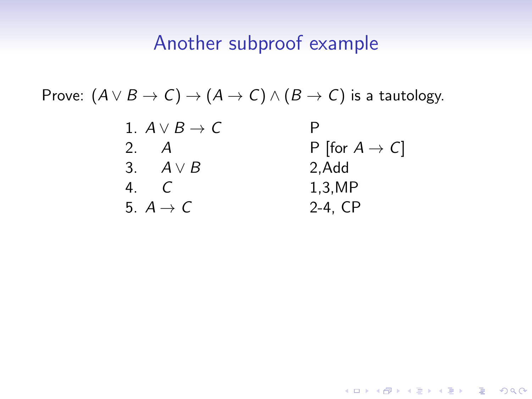Prove:  $(A \vee B \rightarrow C) \rightarrow (A \rightarrow C) \wedge (B \rightarrow C)$  is a tautology.

| 1. $A \vee B \rightarrow C$ |                            |
|-----------------------------|----------------------------|
| 2.<br>A                     | P [for $A \rightarrow C$ ] |
| 3. $A \vee B$               | 2,Add                      |
| 4.<br>$\epsilon$            | 1,3,MP                     |
| 5. $A \rightarrow C$        | $2-4, CP$                  |

KO KKOKKEKKEK E DAG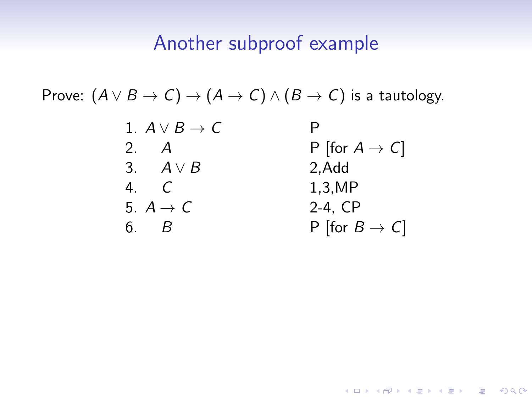Prove:  $(A \vee B \rightarrow C) \rightarrow (A \rightarrow C) \wedge (B \rightarrow C)$  is a tautology.

| 1. $A \vee B \rightarrow C$ |                            |
|-----------------------------|----------------------------|
| 2.<br>A                     | P [for $A \rightarrow C$ ] |
| 3. $A \vee B$               | 2, Add                     |
| 4<br>$\sqrt{ }$             | 1,3,MP                     |
| 5. $A \rightarrow C$        | $2-4$ , $CP$               |
| $\mathcal{B}$<br>6.         | P [for $B \to C$ ]         |

KO KKOKKEKKEK E DAG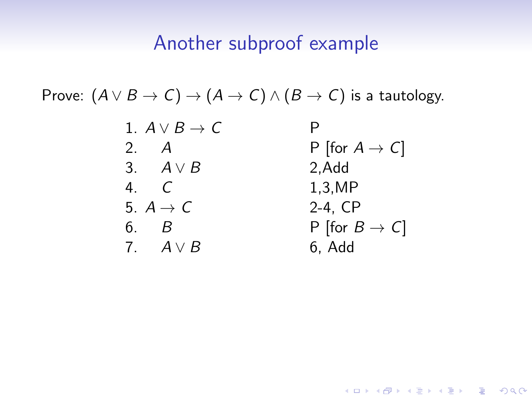Prove:  $(A \vee B \rightarrow C) \rightarrow (A \rightarrow C) \wedge (B \rightarrow C)$  is a tautology.

| 1. $A \vee B \rightarrow C$   |                            |
|-------------------------------|----------------------------|
| 2 $A$                         | P [for $A \rightarrow C$ ] |
| 3. $A \vee B$                 | 2, Add                     |
| $\overline{4}$ $\overline{C}$ | 1,3,MP                     |
| 5. $A \rightarrow C$          | $2-4$ , $CP$               |
| 6. B                          | P [for $B \to C$ ]         |
| 7. $A \vee B$                 | 6, Add                     |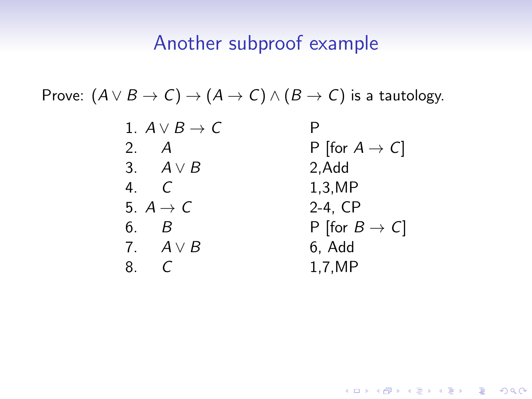Prove:  $(A \vee B \rightarrow C) \rightarrow (A \rightarrow C) \wedge (B \rightarrow C)$  is a tautology.

| 1. $A \vee B \rightarrow C$ |                            |
|-----------------------------|----------------------------|
| 2.<br>A                     | P [for $A \rightarrow C$ ] |
| 3. $A \vee B$               | 2, Add                     |
| 4. $\epsilon$               | 1,3,MP                     |
| 5. $A \rightarrow C$        | $2-4$ , $CP$               |
| ნ.<br>B                     | P [for $B \to C$ ]         |
| 7. $A \vee B$               | 6, Add                     |
| 8.                          | 1,7,MP                     |

KO KKOKKEKKEK E DAG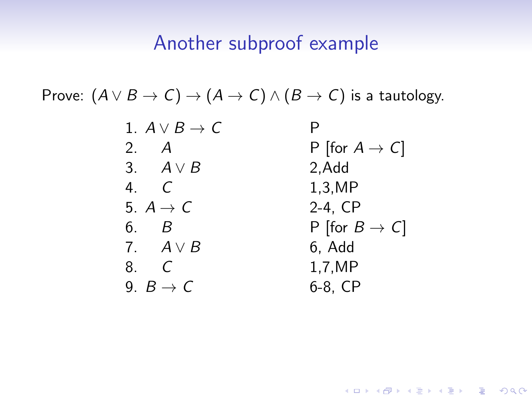Prove:  $(A \vee B \rightarrow C) \rightarrow (A \rightarrow C) \wedge (B \rightarrow C)$  is a tautology.

| 1. $A \vee B \rightarrow C$ |                            |
|-----------------------------|----------------------------|
| 2. A                        | P [for $A \rightarrow C$ ] |
| 3. $A \vee B$               | 2, Add                     |
| 4. $\mathcal{C}$            | 1,3,MP                     |
| 5. $A \rightarrow C$        | 2-4, CP                    |
| 6. B                        | P [for $B \to C$ ]         |
| 7. $A \vee B$               | 6, Add                     |
| - C<br>8.                   | 1,7,MP                     |
| 9. $B \rightarrow C$        | 6-8, CP                    |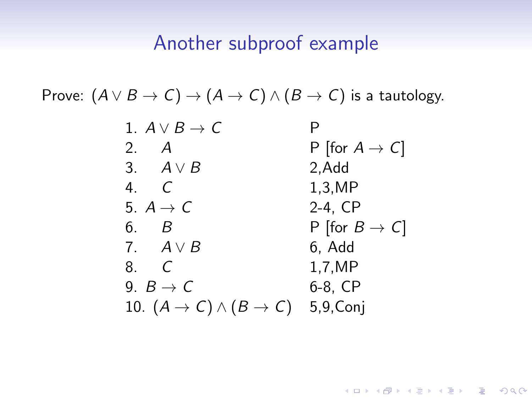Prove:  $(A \vee B \rightarrow C) \rightarrow (A \rightarrow C) \wedge (B \rightarrow C)$  is a tautology.

| 1. $A \vee B \rightarrow C$                               |                            |
|-----------------------------------------------------------|----------------------------|
| 2.<br>A                                                   | P [for $A \rightarrow C$ ] |
| 3. $A \vee B$                                             | 2, Add                     |
| 4. $\epsilon$                                             | 1,3,MP                     |
| 5. $A \rightarrow C$                                      | 2-4, CP                    |
| 6. B                                                      | P [for $B \to C$ ]         |
| 7. $A \vee B$                                             | 6, Add                     |
| 8. C                                                      | 1,7,MP                     |
| 9. $B \rightarrow C$                                      | 6-8, CP                    |
| 10. $(A \rightarrow C) \land (B \rightarrow C)$ 5,9, Conj |                            |

KO KKOKKEKKEK E DAG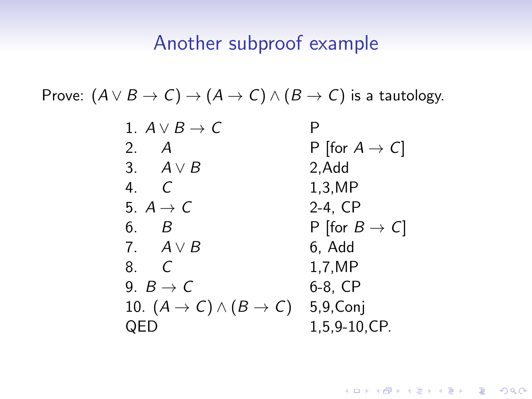Prove:  $(A \vee B \rightarrow C) \rightarrow (A \rightarrow C) \wedge (B \rightarrow C)$  is a tautology.

| 1. $A \vee B \rightarrow C$                               | P                          |
|-----------------------------------------------------------|----------------------------|
| 2.<br>A                                                   | P [for $A \rightarrow C$ ] |
| 3. $A \vee B$                                             | 2, Add                     |
| 4. $\epsilon$                                             | 1,3,MP                     |
| 5. $A \rightarrow C$                                      | 2-4, CP                    |
| 6. B                                                      | P [for $B \to C$ ]         |
| 7. $A \vee B$                                             | 6, Add                     |
| 8. C                                                      | 1,7,MP                     |
| 9. $B \rightarrow C$                                      | 6-8, CP                    |
| 10. $(A \rightarrow C) \land (B \rightarrow C)$ 5,9, Conj |                            |
| QED                                                       | 1,5,9-10,CP.               |

KO KKOKKEKKEK E DAG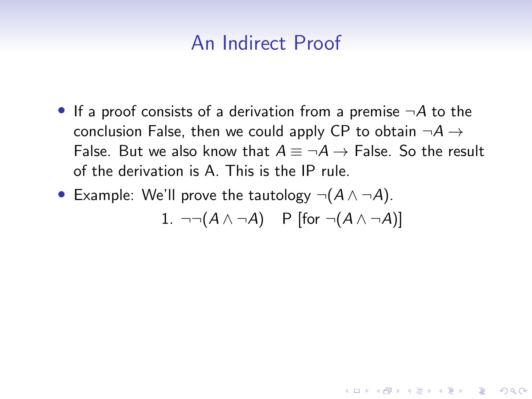• If a proof consists of a derivation from a premise  $\neg A$  to the conclusion False, then we could apply CP to obtain  $\neg A \rightarrow$ False. But we also know that  $A \equiv \neg A \rightarrow$  False. So the result of the derivation is A. This is the IP rule.

• Example: We'll prove the tautology  $\neg(A \land \neg A)$ .

1.  $\neg\neg(A \land \neg A)$  P [for  $\neg(A \land \neg A)$ ]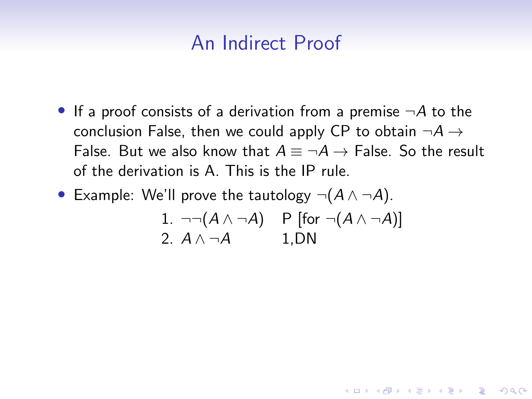• If a proof consists of a derivation from a premise  $\neg A$  to the conclusion False, then we could apply CP to obtain  $\neg A \rightarrow$ False. But we also know that  $A \equiv \neg A \rightarrow$  False. So the result of the derivation is A. This is the IP rule.

• Example: We'll prove the tautology  $\neg(A \land \neg A)$ .

1. 
$$
\neg\neg(A \land \neg A)
$$
 P [for  $\neg(A \land \neg A)$ ]  
2.  $A \land \neg A$  1, DN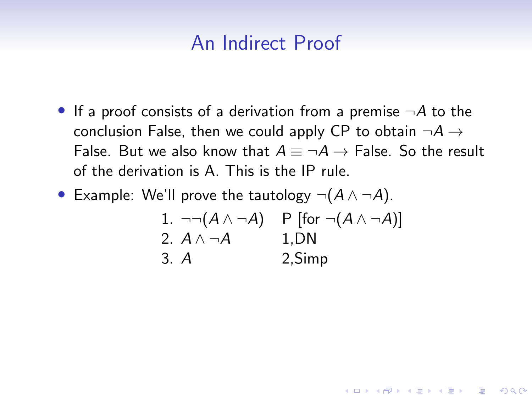- If a proof consists of a derivation from a premise  $\neg A$  to the conclusion False, then we could apply CP to obtain  $\neg A \rightarrow$ False. But we also know that  $A \equiv \neg A \rightarrow$  False. So the result of the derivation is A. This is the IP rule.
- Example: We'll prove the tautology  $\neg(A \land \neg A)$ .

1. 
$$
\neg \neg (A \land \neg A)
$$
 P [for  $\neg (A \land \neg A)$ ]  
2.  $A \land \neg A$  1, DN  
3. A 2, Simp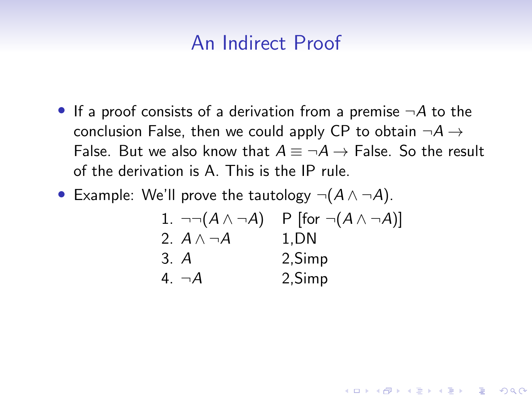- If a proof consists of a derivation from a premise  $\neg A$  to the conclusion False, then we could apply CP to obtain  $\neg A \rightarrow$ False. But we also know that  $A \equiv \neg A \rightarrow$  False. So the result of the derivation is A. This is the IP rule.
- Example: We'll prove the tautology  $\neg(A \land \neg A)$ .

| 1. $\neg\neg(A \wedge \neg A)$ | P [for $\neg(A \land \neg A)$ ] |
|--------------------------------|---------------------------------|
| 2. $A \wedge \neg A$           | 1.DN                            |
| 3. A                           | 2, Simp                         |
| 4. $\neg A$                    | 2, Simp                         |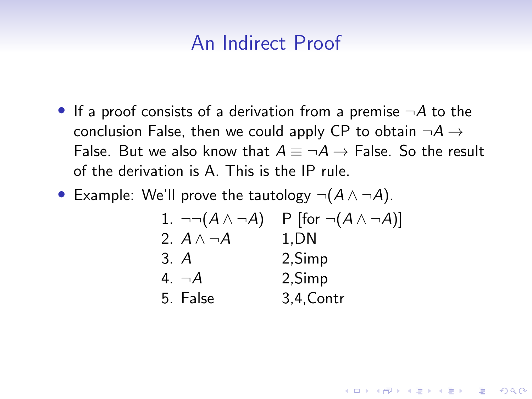- If a proof consists of a derivation from a premise  $\neg A$  to the conclusion False, then we could apply CP to obtain  $\neg A \rightarrow$ False. But we also know that  $A \equiv \neg A \rightarrow$  False. So the result of the derivation is A. This is the IP rule.
- Example: We'll prove the tautology  $\neg(A \land \neg A)$ .

| 1. $\neg\neg(A \wedge \neg A)$ | P [for $\neg(A \land \neg A)$ ] |
|--------------------------------|---------------------------------|
| 2. $A \wedge \neg A$           | 1.DN                            |
| 3. A                           | 2, Simp                         |
| 4. $\neg A$                    | 2, Simp                         |
| 5. False                       | 3,4, Contr                      |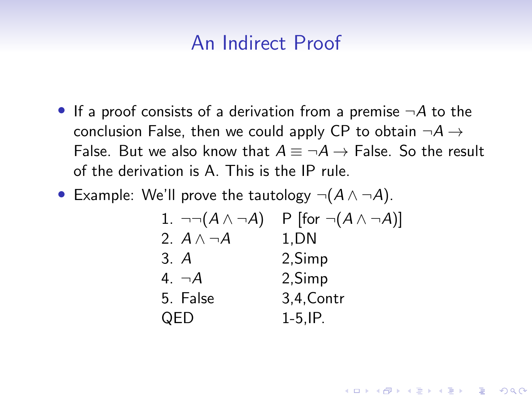- If a proof consists of a derivation from a premise  $\neg A$  to the conclusion False, then we could apply CP to obtain  $\neg A \rightarrow$ False. But we also know that  $A \equiv \neg A \rightarrow$  False. So the result of the derivation is A. This is the IP rule.
- Example: We'll prove the tautology  $\neg(A \land \neg A)$ .

| 1. $\neg\neg(A \wedge \neg A)$ | P [for $\neg(A \land \neg A)$ ] |
|--------------------------------|---------------------------------|
| 2. $A \wedge \neg A$           | 1.DN                            |
| 3. A                           | 2,Simp                          |
| 4. $\neg A$                    | 2,Simp                          |
| 5. False                       | 3,4, Contr                      |
| QED                            | $1-5$ , IP.                     |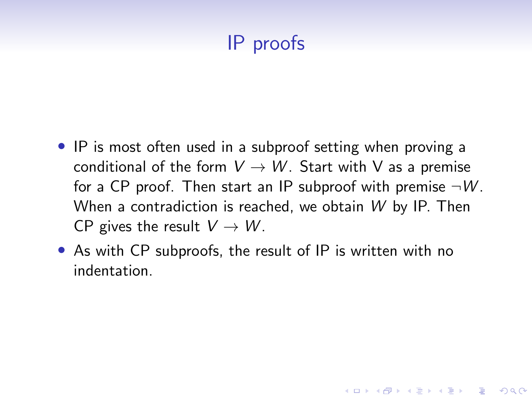# IP proofs

- IP is most often used in a subproof setting when proving a conditional of the form  $V \rightarrow W$ . Start with V as a premise for a CP proof. Then start an IP subproof with premise  $\neg W$ . When a contradiction is reached, we obtain W by IP. Then CP gives the result  $V \to W$ .
- As with CP subproofs, the result of IP is written with no indentation.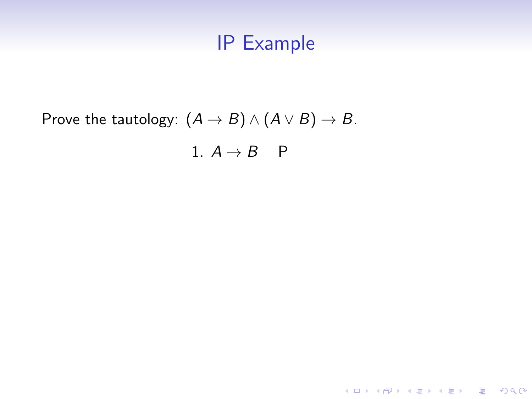K ロ ▶ K @ ▶ K 할 ▶ K 할 ▶ | 할 | ⊙Q @

# Prove the tautology:  $(A \rightarrow B) \land (A \lor B) \rightarrow B$ . 1.  $A \rightarrow B$  P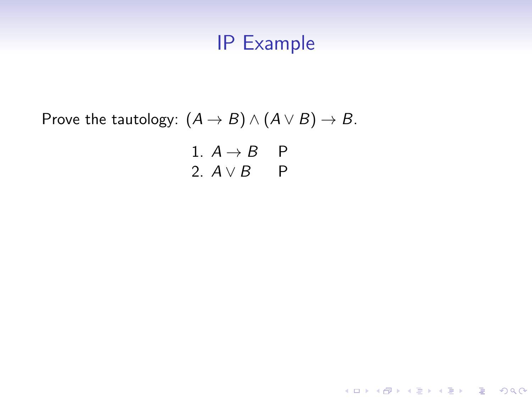**Kロトメ部トメミトメミト ミニのRC** 

Prove the tautology:  $(A \rightarrow B) \land (A \lor B) \rightarrow B$ .

1. 
$$
A \rightarrow B
$$
 P  
2.  $A \lor B$  P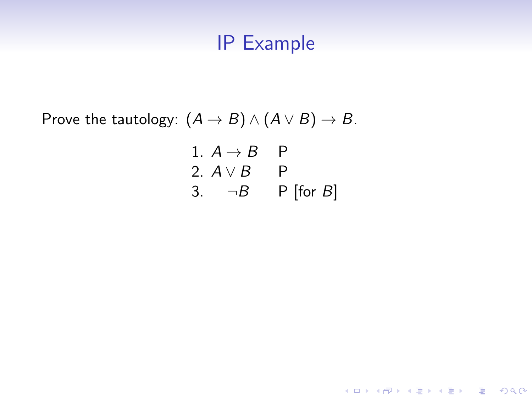Prove the tautology:  $(A \rightarrow B) \land (A \lor B) \rightarrow B$ .

1. 
$$
A \rightarrow B
$$
 P  
2.  $A \lor B$  P  
3.  $\neg B$  P [for B]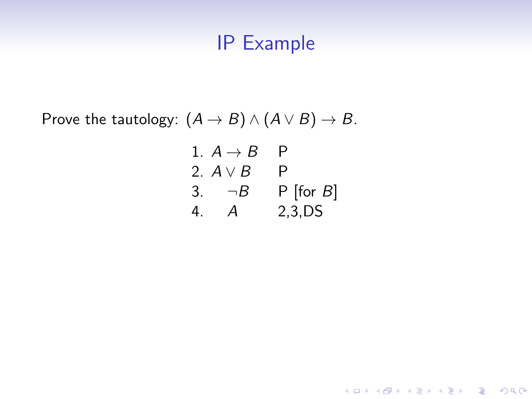Prove the tautology:  $(A \rightarrow B) \land (A \lor B) \rightarrow B$ .

|    | 1. $A \rightarrow B$ | P              |
|----|----------------------|----------------|
|    | 2. $A \vee B$        | P              |
|    | 3. $\neg B$          | $P$ [for $B$ ] |
| 4. | $\boldsymbol{A}$     | 2,3,DS         |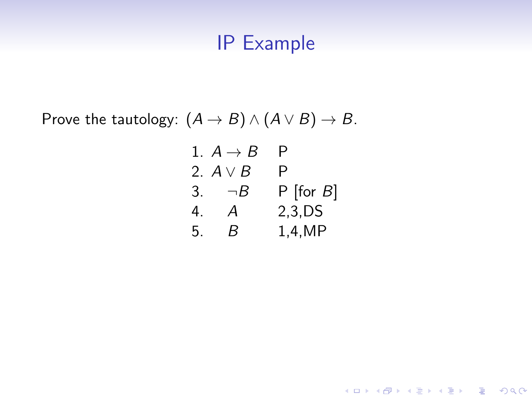Prove the tautology:  $(A \rightarrow B) \land (A \lor B) \rightarrow B$ .

|    | 1. $A \rightarrow B$ | P              |
|----|----------------------|----------------|
|    | 2. A v B             | P              |
| 3. | $\neg B$             | $P$ [for $B$ ] |
| 4. | А                    | $2,3$ , DS     |
| 5. | R                    | 1,4,MP         |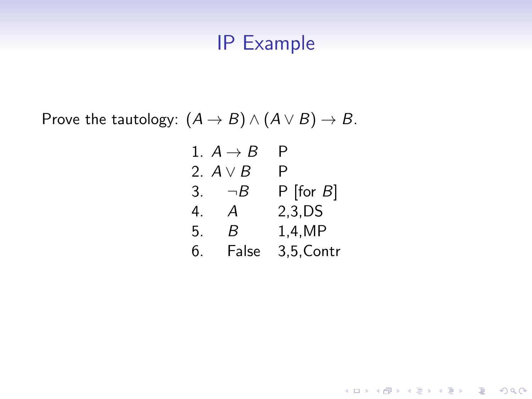Prove the tautology:  $(A \rightarrow B) \land (A \lor B) \rightarrow B$ .

|    | 1. $A \rightarrow B$ | Р              |
|----|----------------------|----------------|
|    | 2. $A \vee B$        | P              |
| 3. | $\neg B$             | $P$ [for $B$ ] |
| 4. | A                    | $2,3$ , DS     |
| 5. | R                    | 1,4,MP         |
| ნ. | False                | 3,5, Contr     |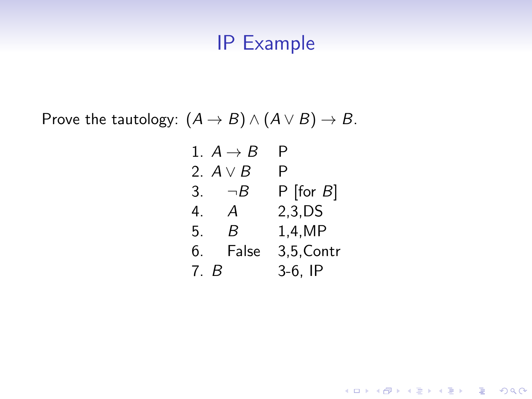Prove the tautology:  $(A \rightarrow B) \land (A \lor B) \rightarrow B$ .

|     | 1. $A \rightarrow B$ | Р              |
|-----|----------------------|----------------|
|     | 2. $A \vee B$        | P              |
|     | 3. $\neg B$          | $P$ [for $B$ ] |
| 4.  | A                    | 2,3,DS         |
| 5.  | R                    | 1,4,MP         |
| 6.  | False                | 3,5, Contr     |
| 7 R |                      | $3-6$ , IP     |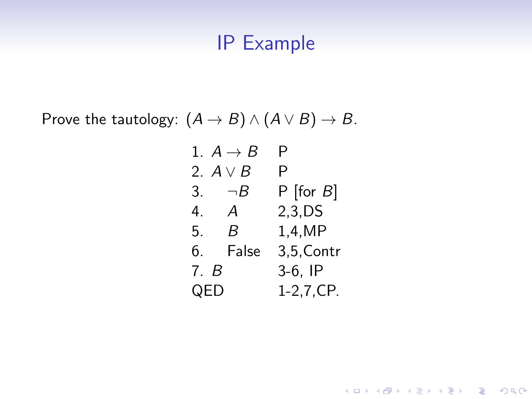Prove the tautology:  $(A \rightarrow B) \land (A \lor B) \rightarrow B$ .

|      | 1. $A \rightarrow B$ | Р              |
|------|----------------------|----------------|
|      | 2. $A \vee B$        | Ρ              |
|      | 3. $\neg B$          | $P$ [for $B$ ] |
| 4.   | $\overline{A}$       | 2,3,DS         |
| 5.   | B.                   | 1,4,MP         |
| 6.   | False                | 3,5, Contr     |
| 7. B |                      | $3-6$ , IP     |
| QED  |                      | $1-2, 7, CP.$  |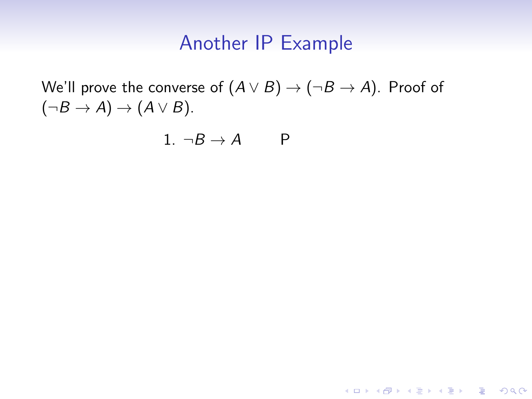K ロ ▶ K @ ▶ K 할 ▶ K 할 ▶ | 할 | © 9 Q @

We'll prove the converse of  $(A \vee B) \rightarrow (\neg B \rightarrow A)$ . Proof of  $(\neg B \rightarrow A) \rightarrow (A \vee B).$ 

$$
1. \neg B \to A \qquad P
$$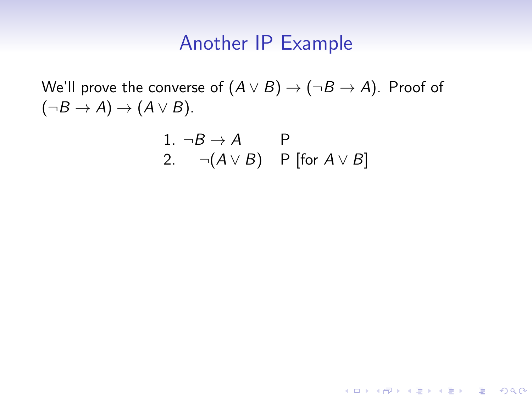We'll prove the converse of  $(A \vee B) \rightarrow (\neg B \rightarrow A)$ . Proof of  $(\neg B \rightarrow A) \rightarrow (A \vee B).$ 

1. 
$$
\neg B \rightarrow A
$$
 P  
2.  $\neg (A \lor B)$  P [for  $A \lor B$ ]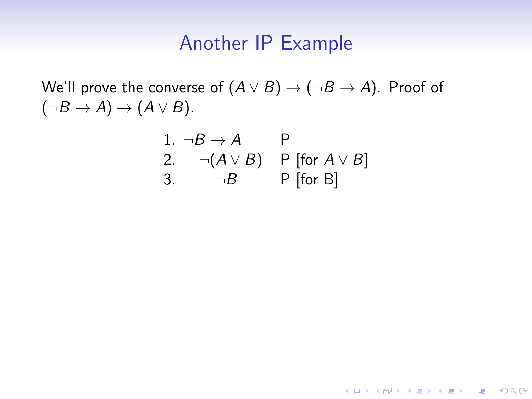We'll prove the converse of  $(A \vee B) \rightarrow (\neg B \rightarrow A)$ . Proof of  $(\neg B \rightarrow A) \rightarrow (A \vee B).$ 

1. 
$$
\neg B \rightarrow A
$$
 P  
\n2.  $\neg (A \lor B)$  P [for  $A \lor B$ ]  
\n3.  $\neg B$  P [for B]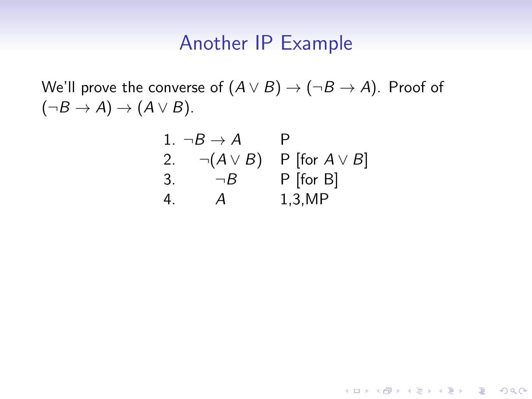We'll prove the converse of  $(A \vee B) \rightarrow (\neg B \rightarrow A)$ . Proof of  $(\neg B \rightarrow A) \rightarrow (A \vee B).$ 

1. 
$$
\neg B \rightarrow A
$$
 P  
\n2.  $\neg(A \lor B)$  P [for  $A \lor B$ ]  
\n3.  $\neg B$  P [for B]  
\n4. A 1,3,MP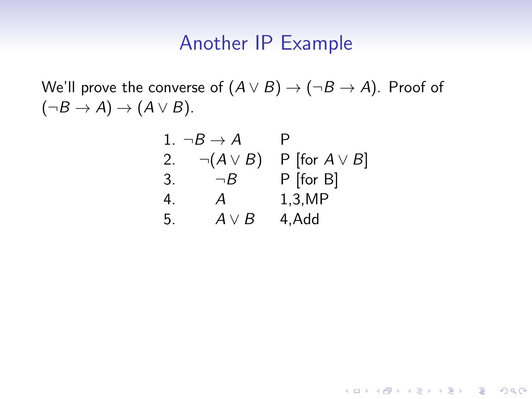We'll prove the converse of  $(A \vee B) \rightarrow (\neg B \rightarrow A)$ . Proof of  $(\neg B \rightarrow A) \rightarrow (A \vee B).$ 

1. 
$$
\neg B \rightarrow A
$$
 P  
\n2.  $\neg(A \lor B)$  P [for  $A \lor B$ ]  
\n3.  $\neg B$  P [for B]  
\n4. A 1,3,MP  
\n5.  $A \lor B$  4, Add

K ロ ▶ K 個 ▶ K 할 ▶ K 할 ▶ 이 할 → 9 Q Q →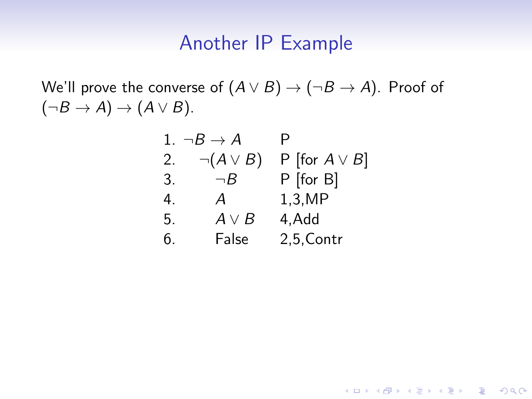We'll prove the converse of  $(A \vee B) \rightarrow (\neg B \rightarrow A)$ . Proof of  $(\neg B \rightarrow A) \rightarrow (A \vee B).$ 

| 1. | $\neg B \to A$   | P                   |
|----|------------------|---------------------|
| 2. | $\neg(A \vee B)$ | P [for $A \vee B$ ] |
| 3. | $\neg B$         | $P$ [for B]         |
| 4. | А                | 1,3,MP              |
| 5. | $A \vee B$       | 4, Add              |
| 6. | False            | 2,5, Contr          |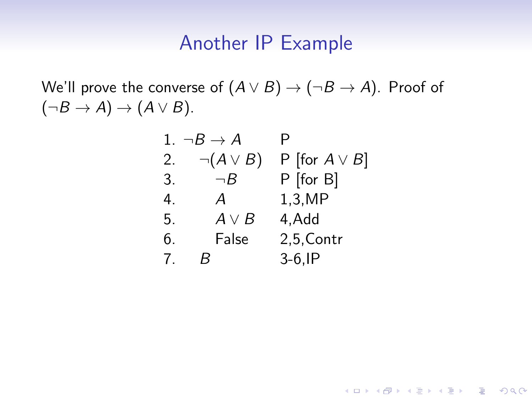We'll prove the converse of  $(A \vee B) \rightarrow (\neg B \rightarrow A)$ . Proof of  $(\neg B \rightarrow A) \rightarrow (A \vee B).$ 

|    | 1. $\neg B \rightarrow A$ | P                   |
|----|---------------------------|---------------------|
| 2. | $\neg(A \vee B)$          | P [for $A \vee B$ ] |
| 3. | $\neg B$                  | P [for B]           |
| 4. | А                         | 1,3,MP              |
| 5. | $A \vee B$                | 4, Add              |
| 6. | False                     | 2,5, Contr          |
| 7. | к                         | $3-6$ , IP          |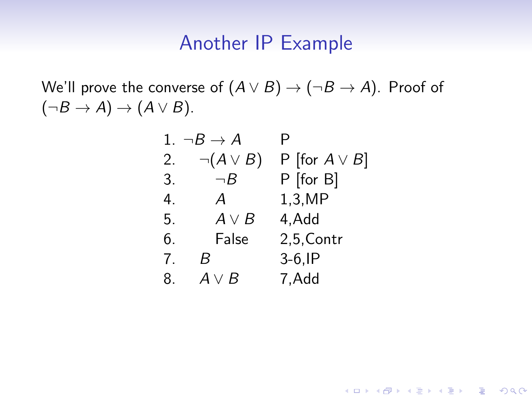We'll prove the converse of  $(A \vee B) \rightarrow (\neg B \rightarrow A)$ . Proof of  $(\neg B \rightarrow A) \rightarrow (A \vee B).$ 

| 1. | $\neg B \to A$   | P                   |
|----|------------------|---------------------|
| 2. | $\neg(A \vee B)$ | P [for $A \vee B$ ] |
| 3. | $\neg B$         | P [for B]           |
| 4. | А                | 1,3,MP              |
| 5. | $A \vee B$       | 4, Add              |
| 6. | False            | 2,5, Contr          |
| 7. | В                | $3-6$ , IP          |
| 8. | $A \vee B$       | 7, Add              |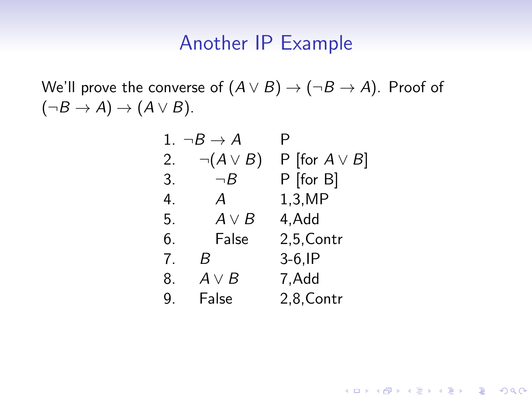We'll prove the converse of  $(A \vee B) \rightarrow (\neg B \rightarrow A)$ . Proof of  $(\neg B \rightarrow A) \rightarrow (A \vee B).$ 

| 1. | $\neg B \to A$   | Р                   |
|----|------------------|---------------------|
| 2. | $\neg(A \vee B)$ | P [for $A \vee B$ ] |
| 3. | $\neg B$         | P [for B]           |
| 4. | А                | 1,3,MP              |
| 5. | $A \vee B$       | 4, Add              |
| 6. | False            | 2,5, Contr          |
| 7. | B                | $3-6$ , IP          |
| 8. | $A \vee B$       | 7,Add               |
| 9. | False            | 2,8, Contr          |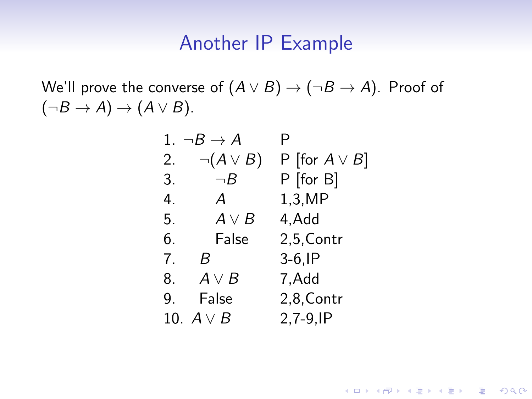We'll prove the converse of  $(A \vee B) \rightarrow (\neg B \rightarrow A)$ . Proof of  $(\neg B \rightarrow A) \rightarrow (A \vee B).$ 

| 1. | $\neg B \to A$   | P                   |
|----|------------------|---------------------|
| 2. | $\neg(A \vee B)$ | P [for $A \vee B$ ] |
| 3. | $\neg B$         | P [for B]           |
| 4. | А                | 1,3,MP              |
| 5. | $A \vee B$       | 4, Add              |
| 6. | False            | 2,5, Contr          |
| 7. | B                | $3-6$ , IP          |
| 8. | $A \vee B$       | 7, Add              |
| 9. | False            | 2,8, Contr          |
|    | 10. $A \vee B$   | $2,7-9,IP$          |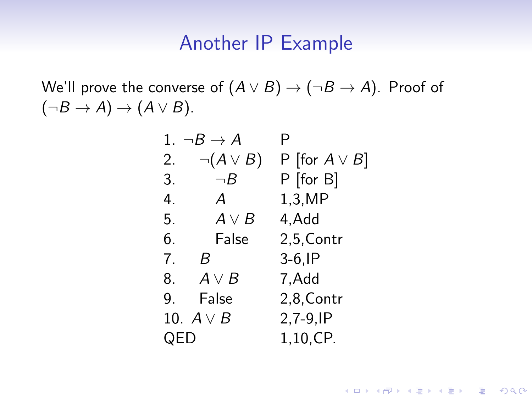We'll prove the converse of  $(A \vee B) \rightarrow (\neg B \rightarrow A)$ . Proof of  $(\neg B \rightarrow A) \rightarrow (A \vee B).$ 

| 1.  | $\neg B \to A$   | Р                   |
|-----|------------------|---------------------|
| 2.  | $\neg(A \vee B)$ | P [for $A \vee B$ ] |
| 3.  | $\neg B$         | P [for B]           |
| 4.  | Α                | 1,3,MP              |
| 5.  | $A \vee B$       | 4, Add              |
| 6.  | False            | 2,5, Contr          |
| 7.  | - B              | $3-6$ , IP          |
|     | 8. $A \vee B$    | 7,Add               |
| 9.  | False            | 2,8, Contr          |
|     | 10. $A \vee B$   | $2,7-9,IP$          |
| QED |                  | 1,10,CP.            |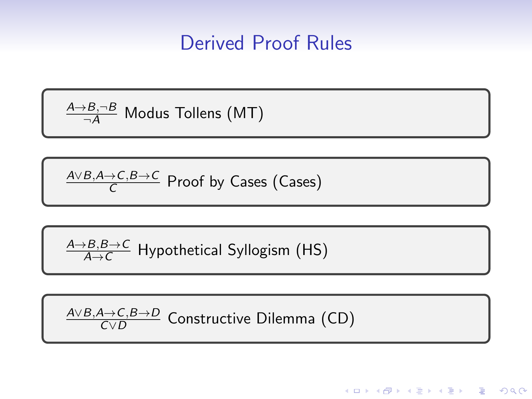# Derived Proof Rules

$$
\xrightarrow[\neg A]{A \to B, \neg B} \text{Modus Tollens (MT)}
$$

$$
\xrightarrow[C]{A \lor B, A \to C, B \to C} \text{Proof by Cases (Cases)}
$$

$$
\frac{A \rightarrow B, B \rightarrow C}{A \rightarrow C}
$$
 Hypothetical Syllogism (HS)

$$
\frac{A \vee B, A \to C, B \to D}{C \vee D}
$$
 Constructive Dilemma (CD)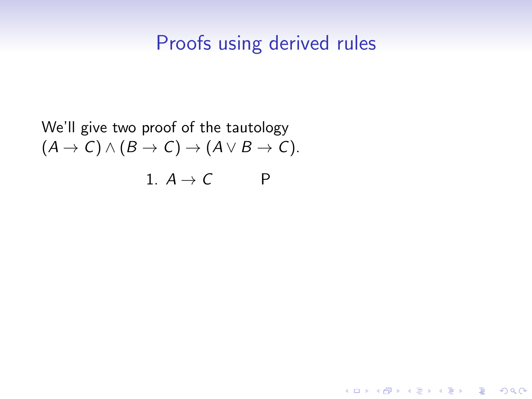K ロ ▶ K 個 ▶ K ミ ▶ K ミ ▶ │ 큰 │ ◆ 9 Q ⊙

We'll give two proof of the tautology  $(A \rightarrow C) \land (B \rightarrow C) \rightarrow (A \lor B \rightarrow C).$ 1.  $A \rightarrow C$  P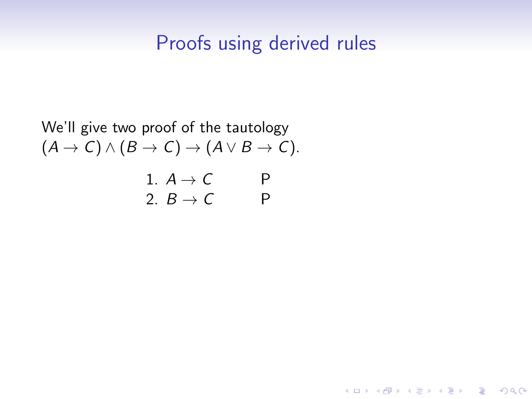**Kロトメ部トメミトメミト ミニのQC** 

We'll give two proof of the tautology  
\n
$$
(A \rightarrow C) \land (B \rightarrow C) \rightarrow (A \lor B \rightarrow C).
$$
  
\n1.  $A \rightarrow C$  P  
\n2.  $B \rightarrow C$  P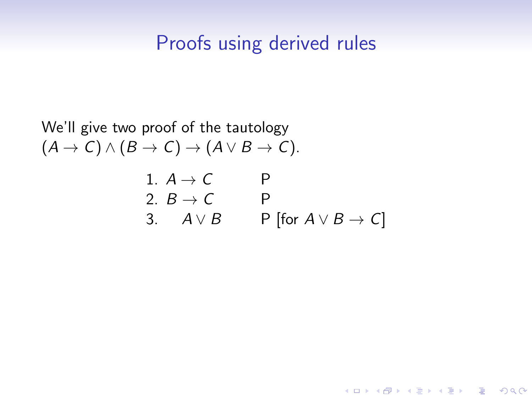**Kロトメ部トメミトメミト ミニのQC** 

We'll give two proof of the tautology  
\n
$$
(A \rightarrow C) \land (B \rightarrow C) \rightarrow (A \lor B \rightarrow C).
$$
  
\n1.  $A \rightarrow C$  P  
\n2.  $B \rightarrow C$  P  
\n3.  $A \lor B$  P [for  $A \lor B \rightarrow C$ ]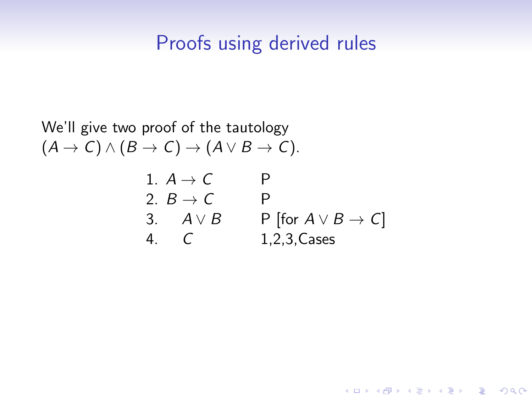**KORKARYKERKER POLO** 

We'll give two proof of the tautology  $(A \rightarrow C) \land (B \rightarrow C) \rightarrow (A \lor B \rightarrow C).$ 1.  $A \rightarrow C$  P 2.  $B \rightarrow C$  P 3.  $A \vee B$  P [for  $A \vee B \rightarrow C$ ] 4. C 1,2,3,Cases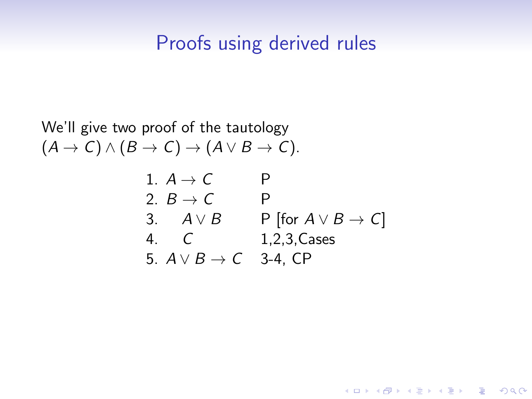#### Proofs using derived rules

We'll give two proof of the tautology  $(A \rightarrow C) \land (B \rightarrow C) \rightarrow (A \lor B \rightarrow C).$ 

1. 
$$
A \rightarrow C
$$
 P  
\n2.  $B \rightarrow C$  P  
\n3.  $A \lor B$  P [for  $A \lor B \rightarrow C$ ]  
\n4. C  
\n1,2,3, Cases  
\n5.  $A \lor B \rightarrow C$  3-4, CP

K ロ ▶ K 個 ▶ K 할 ▶ K 할 ▶ 이 할 → 9 Q Q ·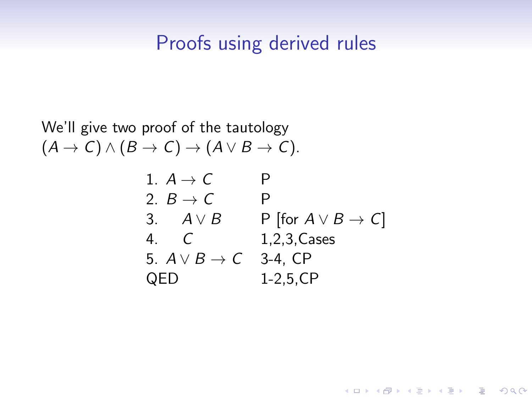#### Proofs using derived rules

We'll give two proof of the tautology  $(A \rightarrow C) \land (B \rightarrow C) \rightarrow (A \lor B \rightarrow C).$ 

1. 
$$
A \rightarrow C
$$
 P  
\n2.  $B \rightarrow C$  P  
\n3.  $A \lor B$  P [for  $A \lor B \rightarrow C$ ]  
\n4. C 1,2,3,Case  
\n5.  $A \lor B \rightarrow C$  3-4, CP  
\nQED 1-2,5,CP

K ロ ▶ K 個 ▶ K 할 ▶ K 할 ▶ 이 할 → 9 Q Q ·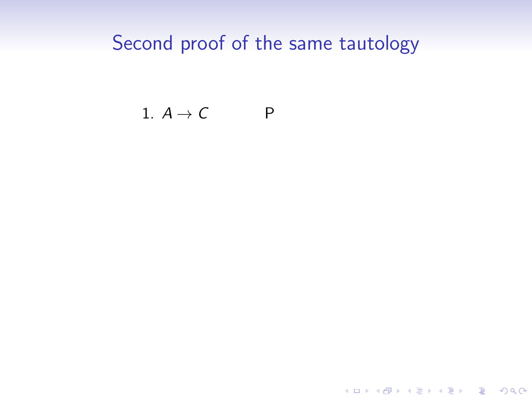K ロ ▶ K @ ▶ K 할 ▶ K 할 ▶ | 할 | ⊙Q @

#### 1.  $A \rightarrow C$  P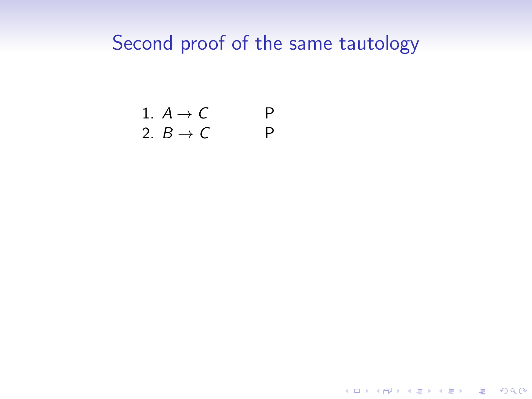1. 
$$
A \rightarrow C
$$
 P  
2.  $B \rightarrow C$  P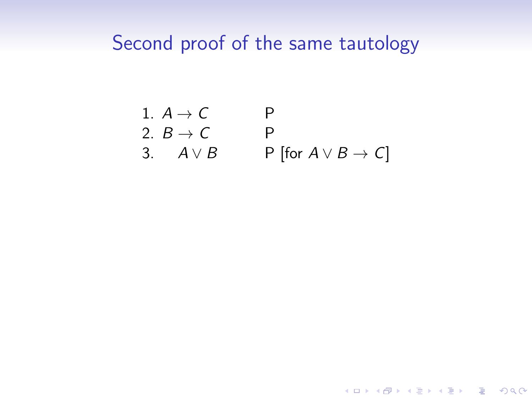1. 
$$
A \rightarrow C
$$
 P  
\n2.  $B \rightarrow C$  P  
\n3.  $A \lor B$  P [for  $A \lor B \rightarrow C$ ]

**Kロトメ部トメミトメミト ミニのQC**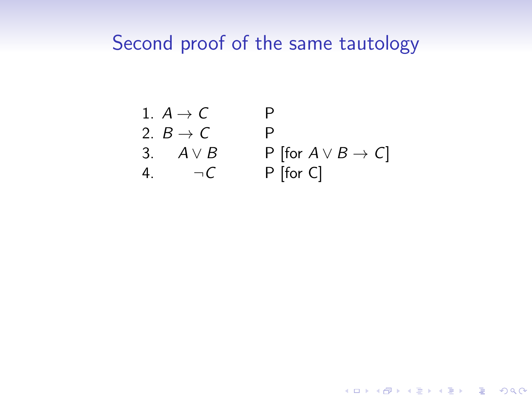1. 
$$
A \rightarrow C
$$
 P  
\n2.  $B \rightarrow C$  P  
\n3.  $A \lor B$  P [for  $A \lor B \rightarrow C$ ]  
\n4.  $\neg C$  P [for C]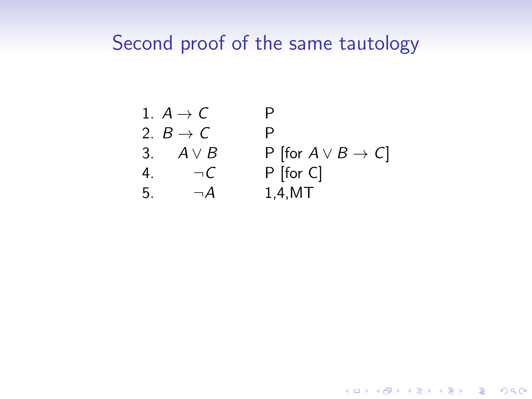1. 
$$
A \rightarrow C
$$
 P  
\n2.  $B \rightarrow C$  P  
\n3.  $A \lor B$  P [for  $A \lor B \rightarrow C$ ]  
\n4.  $\neg C$  P [for C]  
\n5.  $\neg A$  1,4,MT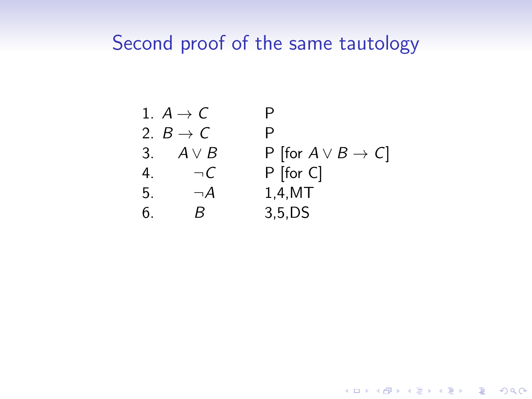1. 
$$
A \rightarrow C
$$
 P  
\n2.  $B \rightarrow C$  P  
\n3.  $A \lor B$  P [for  $A \lor B \rightarrow C$ ]  
\n4.  $\neg C$  P [for C]  
\n5.  $\neg A$  1,4,MT  
\n6. B 3,5,DS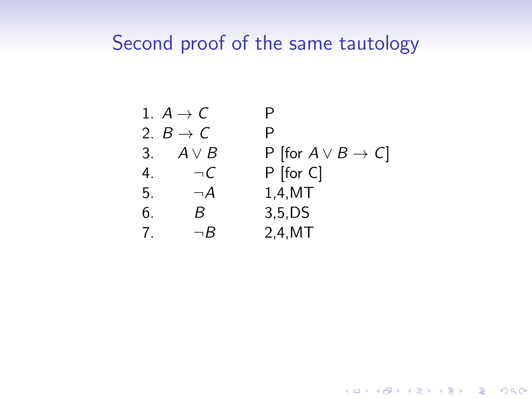1. 
$$
A \rightarrow C
$$
 P  
\n2.  $B \rightarrow C$  P  
\n3.  $A \lor B$  P [for  $A \lor B \rightarrow C$ ]  
\n4.  $\neg C$  P [for C]  
\n5.  $\neg A$  1,4,MT  
\n6. B 3,5,DS  
\n7.  $\neg B$  2,4,MT

**Kロトメ部トメミトメミト ミニのQC**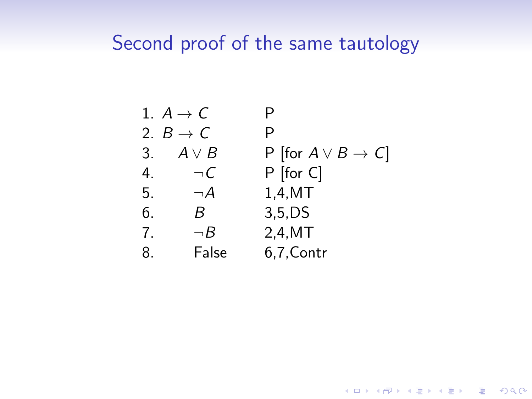| 1. $A \rightarrow C$ | P                                 |
|----------------------|-----------------------------------|
| 2. $B \rightarrow C$ | P                                 |
| 3. $A \lor B$        | P [for $A \lor B \rightarrow C$ ] |
| 4. $\neg C$          | P [for C]                         |
| 5. $\neg A$          | 1,4,MT                            |
| 6. $B$               | 3,5,DS                            |
| 7. $\neg B$          | 2,4,MT                            |
| 8. False             | 6,7,Contr                         |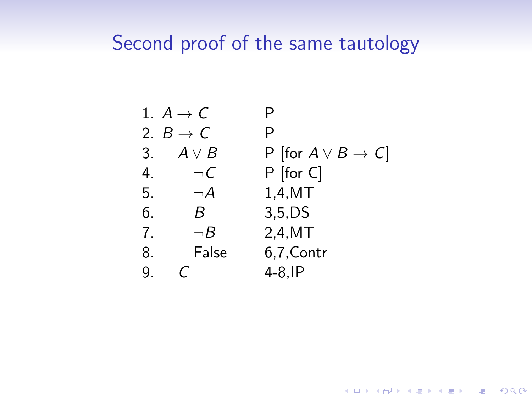|              | 1. $A \rightarrow C$ | P                                 |
|--------------|----------------------|-----------------------------------|
|              | 2. $B \rightarrow C$ | P                                 |
| 3.           | $A \vee B$           | P [for $A \vee B \rightarrow C$ ] |
| $4_{\ldots}$ | $\neg C$             | $P$ [for C]                       |
| 5.           | $\neg A$             | 1,4,MT                            |
| 6.           | B.                   | $3,5$ , DS                        |
| 7.           | $\neg B$             | 2,4,MT                            |
| 8.           | False                | 6,7, Contr                        |
| 9.           |                      | $4-8$ , IP                        |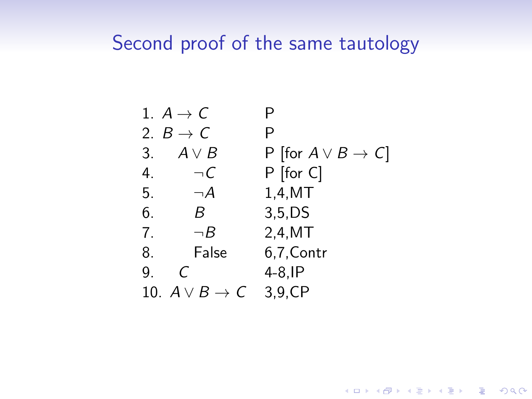|    | 1. $A \rightarrow C$         | Р                                 |
|----|------------------------------|-----------------------------------|
|    | 2. $B \rightarrow C$         | Р                                 |
| 3. | $A \vee B$                   | P [for $A \vee B \rightarrow C$ ] |
| 4. | $\neg C$                     | $P$ [for C]                       |
| 5. | $\neg A$                     | 1,4,MT                            |
| 6. | B                            | $3,5$ , DS                        |
| 7. | $\neg B$                     | 2,4,MT                            |
| 8. | False                        | 6,7, Contr                        |
| 9. | C                            | $4-8$ , IP                        |
|    | 10. $A \vee B \rightarrow C$ | 3,9,CP                            |